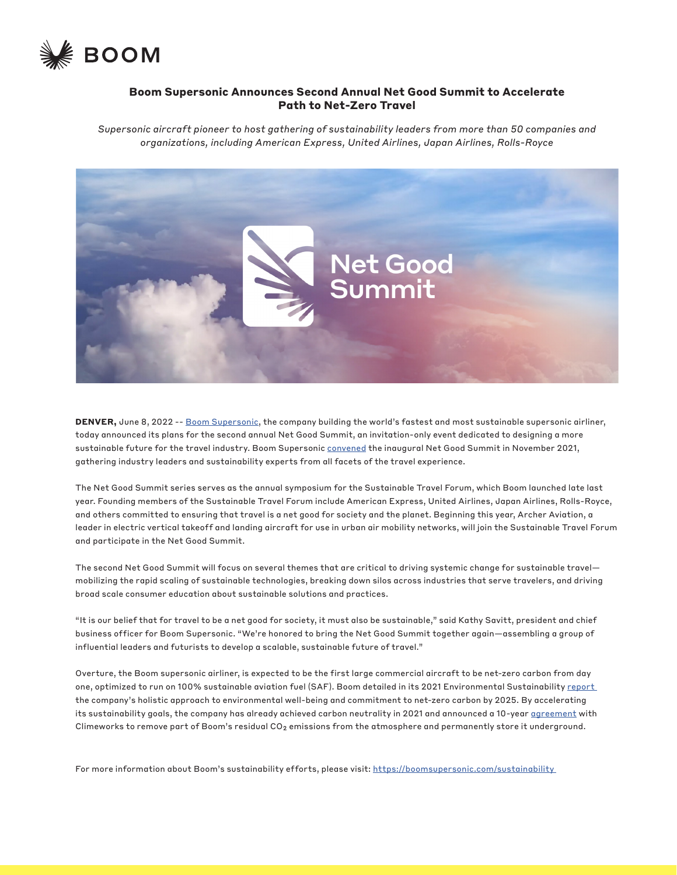

## **Boom Supersonic Announces Second Annual Net Good Summit to Accelerate Path to Net-Zero Travel**

*Supersonic aircraft pioneer to host gathering of sustainability leaders from more than 50 companies and organizations, including American Express, United Airlines, Japan Airlines, Rolls-Royce*



**DENVER,** June 8, 2022 -- [Boom Supersonic,](http://www.boomsupersonic.com) the company building the world's fastest and most sustainable supersonic airliner, today announced its plans for the second annual Net Good Summit, an invitation-only event dedicated to designing a more sustainable future for the travel industry. Boom Supersonic [convened](https://boomsupersonic.com/news/post/boom-supersonic-convenes-net-good-summit-to-drive-sustainable-future-of-travel) the inaugural Net Good Summit in November 2021, gathering industry leaders and sustainability experts from all facets of the travel experience.

The Net Good Summit series serves as the annual symposium for the Sustainable Travel Forum, which Boom launched late last year. Founding members of the Sustainable Travel Forum include American Express, United Airlines, Japan Airlines, Rolls-Royce, and others committed to ensuring that travel is a net good for society and the planet. Beginning this year, Archer Aviation, a leader in electric vertical takeoff and landing aircraft for use in urban air mobility networks, will join the Sustainable Travel Forum and participate in the Net Good Summit.

The second Net Good Summit will focus on several themes that are critical to driving systemic change for sustainable travel mobilizing the rapid scaling of sustainable technologies, breaking down silos across industries that serve travelers, and driving broad scale consumer education about sustainable solutions and practices.

"It is our belief that for travel to be a net good for society, it must also be sustainable," said Kathy Savitt, president and chief business officer for Boom Supersonic. "We're honored to bring the Net Good Summit together again—assembling a group of influential leaders and futurists to develop a scalable, sustainable future of travel."

Overture, the Boom supersonic airliner, is expected to be the first large commercial aircraft to be net-zero carbon from day one, optimized to run on 100% sustainable aviation fuel (SAF). Boom detailed in its 2021 Environmental Sustainability report the company's holistic approach to environmental well-being and commitment to net-zero carbon by 2025. By accelerating its sustainability goals, the company has already achieved carbon neutrality in 2021 and announced a 10-year [agreement](https://boomsupersonic.com/news/post/boom-supersonic-accelerates-towards-2025-net-zero-carbon-pledge-with-european-based-climeworks-deal) with Climeworks to remove part of Boom's residual  $CO<sub>2</sub>$  emissions from the atmosphere and permanently store it underground.

For more information about Boom's sustainability efforts, please visit: https://boomsupersonic.com/sustainability